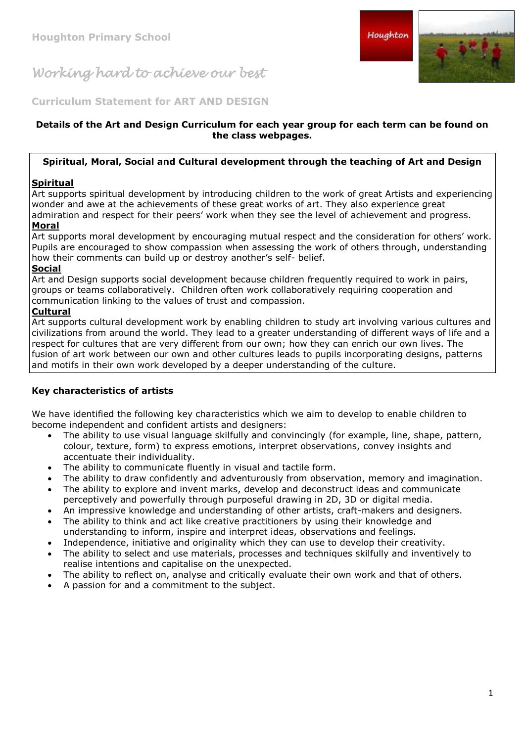**Curriculum Statement for ART AND DESIGN**

#### **Details of the Art and Design Curriculum for each year group for each term can be found on the class webpages.**

### **Spiritual, Moral, Social and Cultural development through the teaching of Art and Design**

## **Spiritual**

Art supports spiritual development by introducing children to the work of great Artists and experiencing wonder and awe at the achievements of these great works of art. They also experience great admiration and respect for their peers' work when they see the level of achievement and progress.

## **Moral**

Art supports moral development by encouraging mutual respect and the consideration for others' work. Pupils are encouraged to show compassion when assessing the work of others through, understanding how their comments can build up or destroy another's self- belief.

### **Social**

Art and Design supports social development because children frequently required to work in pairs, groups or teams collaboratively. Children often work collaboratively requiring cooperation and communication linking to the values of trust and compassion.

#### **Cultural**

Art supports cultural development work by enabling children to study art involving various cultures and civilizations from around the world. They lead to a greater understanding of different ways of life and a respect for cultures that are very different from our own; how they can enrich our own lives. The fusion of art work between our own and other cultures leads to pupils incorporating designs, patterns and motifs in their own work developed by a deeper understanding of the culture.

## **Key characteristics of artists**

We have identified the following key characteristics which we aim to develop to enable children to become independent and confident artists and designers:

- The ability to use visual language skilfully and convincingly (for example, line, shape, pattern, colour, texture, form) to express emotions, interpret observations, convey insights and accentuate their individuality.
- The ability to communicate fluently in visual and tactile form.
- The ability to draw confidently and adventurously from observation, memory and imagination.
- The ability to explore and invent marks, develop and deconstruct ideas and communicate perceptively and powerfully through purposeful drawing in 2D, 3D or digital media.
- An impressive knowledge and understanding of other artists, craft-makers and designers.
- The ability to think and act like creative practitioners by using their knowledge and understanding to inform, inspire and interpret ideas, observations and feelings.
- Independence, initiative and originality which they can use to develop their creativity.
- The ability to select and use materials, processes and techniques skilfully and inventively to realise intentions and capitalise on the unexpected.
- The ability to reflect on, analyse and critically evaluate their own work and that of others.
- A passion for and a commitment to the subject.



Houghton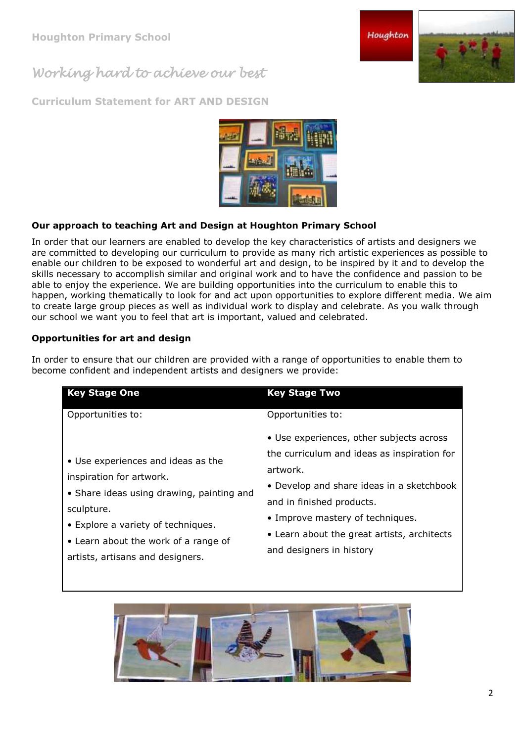**Curriculum Statement for ART AND DESIGN**

# **Our approach to teaching Art and Design at Houghton Primary School**

In order that our learners are enabled to develop the key characteristics of artists and designers we are committed to developing our curriculum to provide as many rich artistic experiences as possible to enable our children to be exposed to wonderful art and design, to be inspired by it and to develop the skills necessary to accomplish similar and original work and to have the confidence and passion to be able to enjoy the experience. We are building opportunities into the curriculum to enable this to happen, working thematically to look for and act upon opportunities to explore different media. We aim to create large group pieces as well as individual work to display and celebrate. As you walk through our school we want you to feel that art is important, valued and celebrated.

## **Opportunities for art and design**

In order to ensure that our children are provided with a range of opportunities to enable them to become co

| confident and independent artists and designers we provide: |                                                                                                      |
|-------------------------------------------------------------|------------------------------------------------------------------------------------------------------|
| <b>Key Stage One</b>                                        | <b>Key Stage Two</b>                                                                                 |
| Opportunities to:                                           | Opportunities to:                                                                                    |
|                                                             | • Use experiences, other subjects across                                                             |
| • Use experiences and ideas as the                          | the curriculum and ideas as inspiration for<br>artwork.<br>• Develop and share ideas in a sketchbook |
| inspiration for artwork.                                    |                                                                                                      |
| • Share ideas using drawing, painting and                   |                                                                                                      |
| sculpture.                                                  | and in finished products.                                                                            |

- Explore a variety of techniques.
- Learn about the work of a range of
- artists, artisans and designers.
- Improve mastery of techniques.
- Learn about the great artists, architects and designers in history





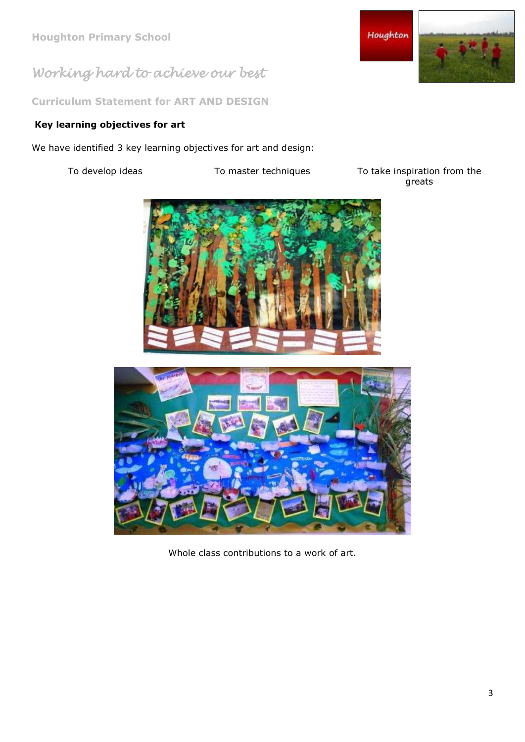**Curriculum Statement for ART AND DESIGN**

## **Key learning objectives for art**

We have identified 3 key learning objectives for art and design:

To develop ideas To master techniques To take inspiration from the greats





Whole class contributions to a work of art.